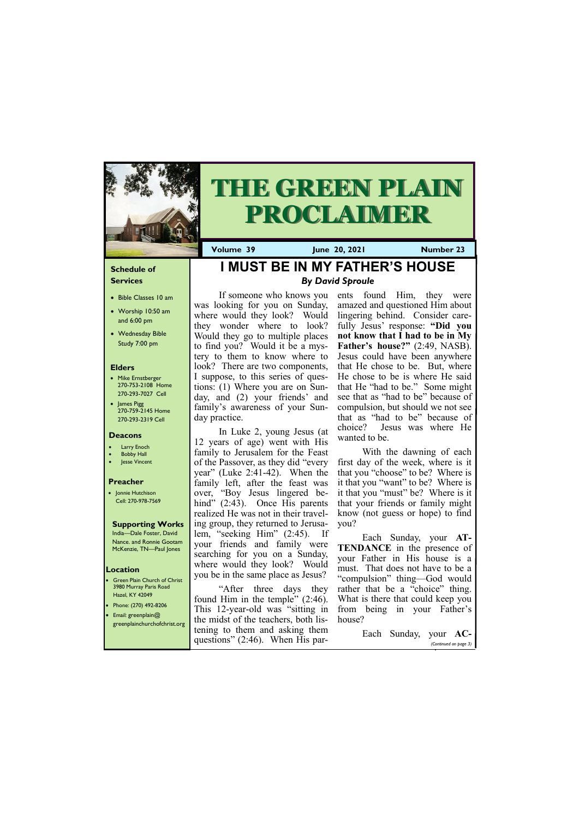#### **Schedule of Services**

- Bible Classes 10 am
- Worship 10:50 am and 6:00 pm
- Wednesday Bible Study 7:00 pm

#### **Elders**

- Mike Ernstberger 270-753-2108 Home 270-293-7027 Cell
- James Pigg 270-759-2145 Home 270-293-2319 Cell

**Green Plain Church of Christ** 3980 Murray Paris Road Hazel, KY 42049 • Phone: (270) 492-8206 • Email: greenplain@



# **THE GREEN PLAIN PROCLAIMER**

#### **Location**

**Volume 39 June 20, 2021 Number 23**

#### **Deacons**

- **Larry Enoch**
- **Bobby Hall**
- Jesse Vincent

#### **Preacher**

• Jonnie Hutchison Cell: 270-978-7569

#### **Supporting Works**

India—Dale Foster, David Nance. and Ronnie Gootam McKenzie, TN—Paul Jones

**I MUST BE IN MY FATHER'S HOUSE**

*By David Sproule*

If someone who knows you

was looking for you on Sunday, where would they look? Would they wonder where to look? Would they go to multiple places to find you? Would it be a mystery to them to know where to look? There are two components, I suppose, to this series of questions: (1) Where you are on Sunday, and (2) your friends' and family's awareness of your Sun-

day practice.

In Luke 2, young Jesus (at

12 years of age) went with His family to Jerusalem for the Feast

of the Passover, as they did "every year" (Luke 2:41-42). When the

family left, after the feast was over, "Boy Jesus lingered behind" (2:43). Once His parents realized He was not in their traveling group, they returned to Jerusalem, "seeking Him" (2:45). If your friends and family were searching for you on a Sunday, where would they look? Would you be in the same place as Jesus?

| $m$ email: greenplain( $\omega$<br>greenplainchurchofchrist.org | the midst of the teachers, both lis- house? |                       |                       |
|-----------------------------------------------------------------|---------------------------------------------|-----------------------|-----------------------|
|                                                                 | tening to them and asking them              | Each Sunday, your AC- |                       |
|                                                                 | questions" $(2:46)$ . When His par-         |                       | (Continued on page 3) |

"After three days they found Him in the temple" (2:46). This 12-year-old was "sitting in ents found Him, they were amazed and questioned Him about lingering behind. Consider carefully Jesus' response: **"Did you not know that I had to be in My Father's house?"** (2:49, NASB). Jesus could have been anywhere that He chose to be. But, where He chose to be is where He said that He "had to be." Some might see that as "had to be" because of compulsion, but should we not see that as "had to be" because of choice? Jesus was where He wanted to be.

With the dawning of each first day of the week, where is it that you "choose" to be? Where is it that you "want" to be? Where is it that you "must" be? Where is it that your friends or family might know (not guess or hope) to find you?

Each Sunday, your **AT-TENDANCE** in the presence of your Father in His house is a must. That does not have to be a "compulsion" thing—God would rather that be a "choice" thing. What is there that could keep you from being in your Father's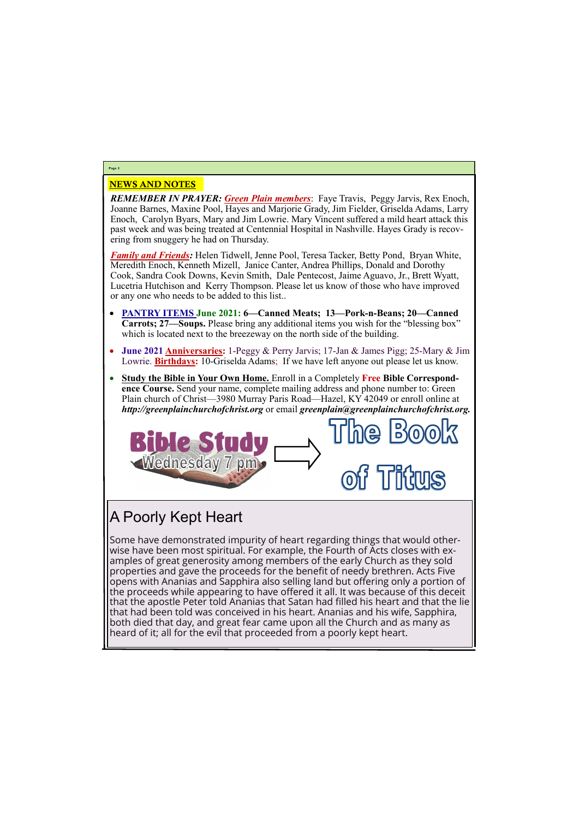### NEWS AND NOTES

*REMEMBER IN PRAYER: Green Plain members*: Faye Travis, Peggy Jarvis, Rex Enoch, Joanne Barnes, Maxine Pool, Hayes and Marjorie Grady, Jim Fielder, Griselda Adams, Larry Enoch, Carolyn Byars, Mary and Jim Lowrie. Mary Vincent suffered a mild heart attack this past week and was being treated at Centennial Hospital in Nashville. Hayes Grady is recovering from snuggery he had on Thursday.

*Family and Friends:* Helen Tidwell, Jenne Pool, Teresa Tacker, Betty Pond, Bryan White, Meredith Enoch, Kenneth Mizell, Janice Canter, Andrea Phillips, Donald and Dorothy Cook, Sandra Cook Downs, Kevin Smith, Dale Pentecost, Jaime Aguavo, Jr., Brett Wyatt, Lucetria Hutchison and Kerry Thompson. Please let us know of those who have improved or any one who needs to be added to this list..

- **PANTRY ITEMS June 2021: 6—Canned Meats; 13—Pork-n-Beans; 20—Canned Carrots; 27—Soups.** Please bring any additional items you wish for the "blessing box" which is located next to the breezeway on the north side of the building.
- **June 2021 Anniversaries:** 1-Peggy & Perry Jarvis; 17-Jan & James Pigg; 25-Mary & Jim Lowrie. **Birthdays:** 10-Griselda Adams; If we have left anyone out please let us know.
- **Study the Bible in Your Own Home.** Enroll in a Completely **Free Bible Correspondence Course.** Send your name, complete mailing address and phone number to: Green Plain church of Christ—3980 Murray Paris Road—Hazel, KY 42049 or enroll online at *http://greenplainchurchofchrist.org* or email *greenplain@greenplainchurchofchrist.org.*



**Page 2**

## A Poorly Kept Heart

Some have demonstrated impurity of heart regarding things that would otherwise have been most spiritual. For example, the Fourth of Acts closes with examples of great generosity among members of the early Church as they sold properties and gave the proceeds for the benefit of needy brethren. Acts Five opens with Ananias and Sapphira also selling land but offering only a portion of the proceeds while appearing to have offered it all. It was because of this deceit that the apostle Peter told Ananias that Satan had filled his heart and that the lie that had been told was conceived in his heart. Ananias and his wife, Sapphira, both died that day, and great fear came upon all the Church and as many as heard of it; all for the evil that proceeded from a poorly kept heart.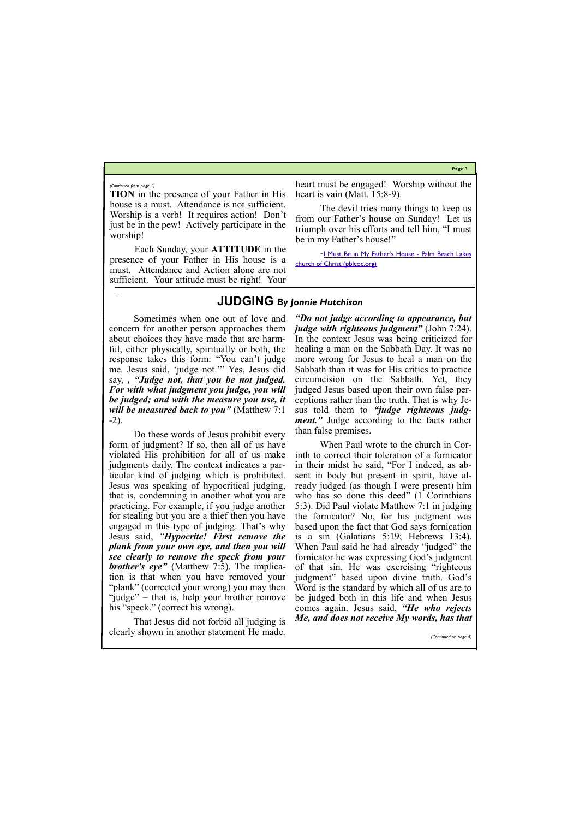**Page 3**

**TION** in the presence of your Father in His house is a must. Attendance is not sufficient. Worship is a verb! It requires action! Don't just be in the pew! Actively participate in the worship!

heart must be engaged! Worship without the heart is vain (Matt. 15:8-9).

Each Sunday, your **ATTITUDE** in the presence of your Father in His house is a must. Attendance and Action alone are not sufficient. Your attitude must be right! Your

-[I Must Be in My Father's House](https://www.pblcoc.org/bulletin-articles/i-must-be-in-my-fathers-house/) - Palm Beach Lakes [church of Christ \(pblcoc.org\)](https://www.pblcoc.org/bulletin-articles/i-must-be-in-my-fathers-house/)

The devil tries many things to keep us from our Father's house on Sunday! Let us triumph over his efforts and tell him, "I must be in my Father's house!"

#### *(Continued from page 1)*

#### **JUDGING** *By Jonnie Hutchison*

Sometimes when one out of love and concern for another person approaches them about choices they have made that are harmful, either physically, spiritually or both, the response takes this form: "You can't judge me. Jesus said, 'judge not.'" Yes, Jesus did say, *, "Judge not, that you be not judged. For with what judgment you judge, you will be judged; and with the measure you use, it will be measured back to you"* (Matthew 7:1 -2).

Do these words of Jesus prohibit every form of judgment? If so, then all of us have violated His prohibition for all of us make judgments daily. The context indicates a particular kind of judging which is prohibited. Jesus was speaking of hypocritical judging, that is, condemning in another what you are practicing. For example, if you judge another for stealing but you are a thief then you have engaged in this type of judging. That's why Jesus said, *"Hypocrite! First remove the plank from your own eye, and then you will see clearly to remove the speck from your brother's eye"* (Matthew 7:5). The implication is that when you have removed your "plank" (corrected your wrong) you may then "judge" – that is, help your brother remove

*"Do not judge according to appearance, but judge with righteous judgment"* (John 7:24). In the context Jesus was being criticized for healing a man on the Sabbath Day. It was no more wrong for Jesus to heal a man on the Sabbath than it was for His critics to practice circumcision on the Sabbath. Yet, they judged Jesus based upon their own false perceptions rather than the truth. That is why Jesus told them to *"judge righteous judgment."* Judge according to the facts rather than false premises.

his "speck." (correct his wrong). That Jesus did not forbid all judging is clearly shown in another statement He made. When Paul wrote to the church in Corinth to correct their toleration of a fornicator in their midst he said, "For I indeed, as absent in body but present in spirit, have already judged (as though I were present) him who has so done this deed" (1 Corinthians 5:3). Did Paul violate Matthew 7:1 in judging the fornicator? No, for his judgment was based upon the fact that God says fornication is a sin (Galatians 5:19; Hebrews 13:4). When Paul said he had already "judged" the fornicator he was expressing God's judgment of that sin. He was exercising "righteous judgment" based upon divine truth. God's Word is the standard by which all of us are to be judged both in this life and when Jesus comes again. Jesus said, *"He who rejects Me, and does not receive My words, has that (Continued on page 4)*